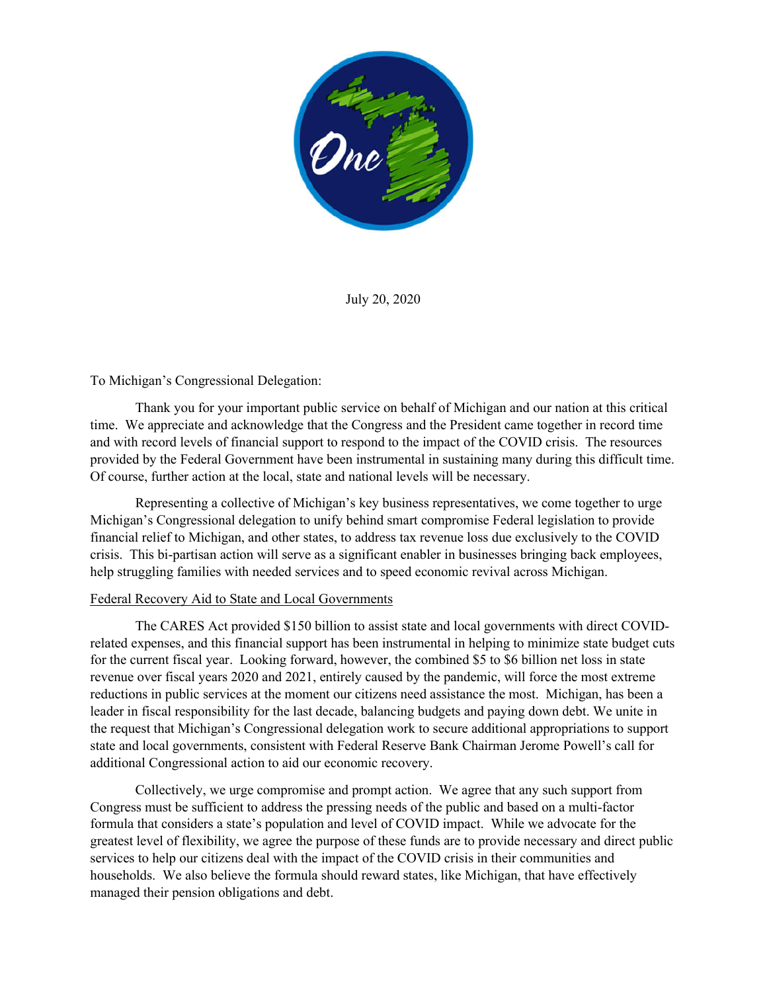

July 20, 2020

## To Michigan's Congressional Delegation:

Thank you for your important public service on behalf of Michigan and our nation at this critical time. We appreciate and acknowledge that the Congress and the President came together in record time and with record levels of financial support to respond to the impact of the COVID crisis. The resources provided by the Federal Government have been instrumental in sustaining many during this difficult time. Of course, further action at the local, state and national levels will be necessary.

Representing a collective of Michigan's key business representatives, we come together to urge Michigan's Congressional delegation to unify behind smart compromise Federal legislation to provide financial relief to Michigan, and other states, to address tax revenue loss due exclusively to the COVID crisis. This bi-partisan action will serve as a significant enabler in businesses bringing back employees, help struggling families with needed services and to speed economic revival across Michigan.

## Federal Recovery Aid to State and Local Governments

The CARES Act provided \$150 billion to assist state and local governments with direct COVIDrelated expenses, and this financial support has been instrumental in helping to minimize state budget cuts for the current fiscal year. Looking forward, however, the combined \$5 to \$6 billion net loss in state revenue over fiscal years 2020 and 2021, entirely caused by the pandemic, will force the most extreme reductions in public services at the moment our citizens need assistance the most. Michigan, has been a leader in fiscal responsibility for the last decade, balancing budgets and paying down debt. We unite in the request that Michigan's Congressional delegation work to secure additional appropriations to support state and local governments, consistent with Federal Reserve Bank Chairman Jerome Powell's call for additional Congressional action to aid our economic recovery.

Collectively, we urge compromise and prompt action. We agree that any such support from Congress must be sufficient to address the pressing needs of the public and based on a multi-factor formula that considers a state's population and level of COVID impact. While we advocate for the greatest level of flexibility, we agree the purpose of these funds are to provide necessary and direct public services to help our citizens deal with the impact of the COVID crisis in their communities and households. We also believe the formula should reward states, like Michigan, that have effectively managed their pension obligations and debt.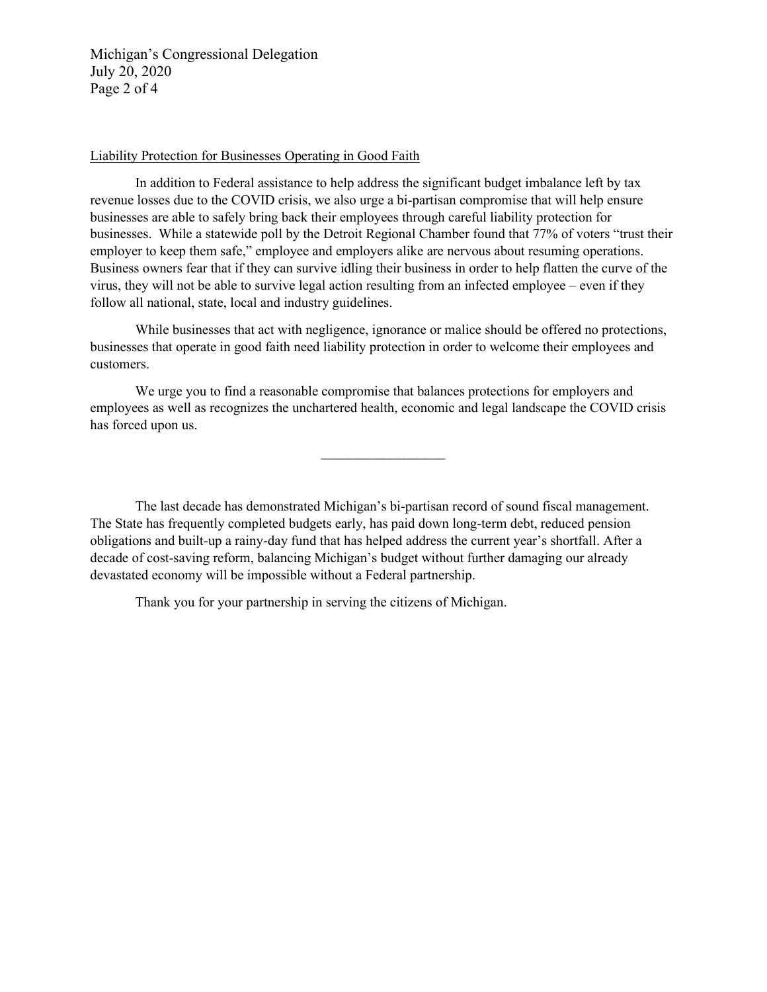Michigan's Congressional Delegation July 20, 2020 Page 2 of 4

## Liability Protection for Businesses Operating in Good Faith

In addition to Federal assistance to help address the significant budget imbalance left by tax revenue losses due to the COVID crisis, we also urge a bi-partisan compromise that will help ensure businesses are able to safely bring back their employees through careful liability protection for businesses. While a statewide poll by the Detroit Regional Chamber found that 77% of voters "trust their employer to keep them safe," employee and employers alike are nervous about resuming operations. Business owners fear that if they can survive idling their business in order to help flatten the curve of the virus, they will not be able to survive legal action resulting from an infected employee – even if they follow all national, state, local and industry guidelines.

While businesses that act with negligence, ignorance or malice should be offered no protections, businesses that operate in good faith need liability protection in order to welcome their employees and customers.

We urge you to find a reasonable compromise that balances protections for employers and employees as well as recognizes the unchartered health, economic and legal landscape the COVID crisis has forced upon us.

 $\overline{\phantom{a}}$  , where  $\overline{\phantom{a}}$ 

The last decade has demonstrated Michigan's bi-partisan record of sound fiscal management. The State has frequently completed budgets early, has paid down long-term debt, reduced pension obligations and built-up a rainy-day fund that has helped address the current year's shortfall. After a decade of cost-saving reform, balancing Michigan's budget without further damaging our already devastated economy will be impossible without a Federal partnership.

Thank you for your partnership in serving the citizens of Michigan.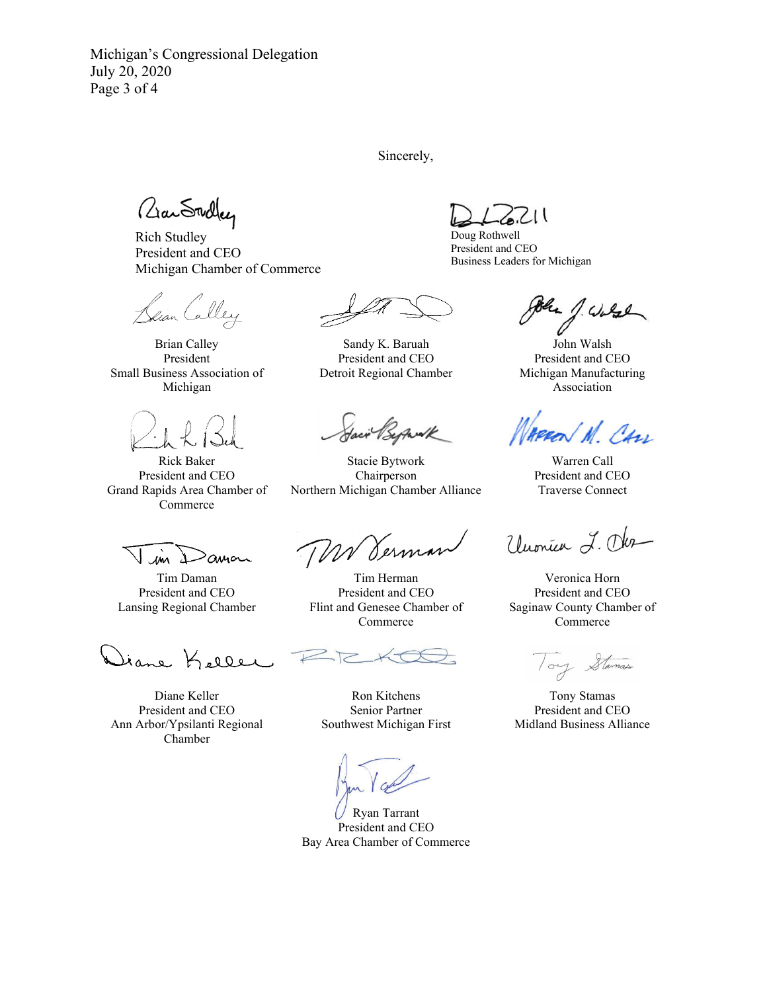Michigan's Congressional Delegation July 20, 2020 Page 3 of 4

Sincerely,

aan Swdley

Rich Studley President and CEO Michigan Chamber of Commerce

lian Calley

Brian Calley President Small Business Association of Michigan

Rick Baker President and CEO Grand Rapids Area Chamber of Commerce

Sandy K. Baruah President and CEO Detroit Regional Chamber

Stacie Bytwork Chairperson Northern Michigan Chamber Alliance

m  $\alpha$ 

Tim Daman President and CEO Lansing Regional Chamber

Jiane Keller

Diane Keller President and CEO Ann Arbor/Ypsilanti Regional Chamber

WV Derman

Tim Herman President and CEO Flint and Genesee Chamber of Commerce

Ron Kitchens Senior Partner Southwest Michigan First

l

Ryan Tarrant President and CEO Bay Area Chamber of Commerce

 $211$ 

Doug Rothwell President and CEO Business Leaders for Michigan

1. Ward

John Walsh President and CEO Michigan Manufacturing Association

Con Appen

Warren Call President and CEO Traverse Connect

Unonier L. Obr

Veronica Horn President and CEO Saginaw County Chamber of Commerce

Stamas  $/ou$ 

Tony Stamas President and CEO Midland Business Alliance